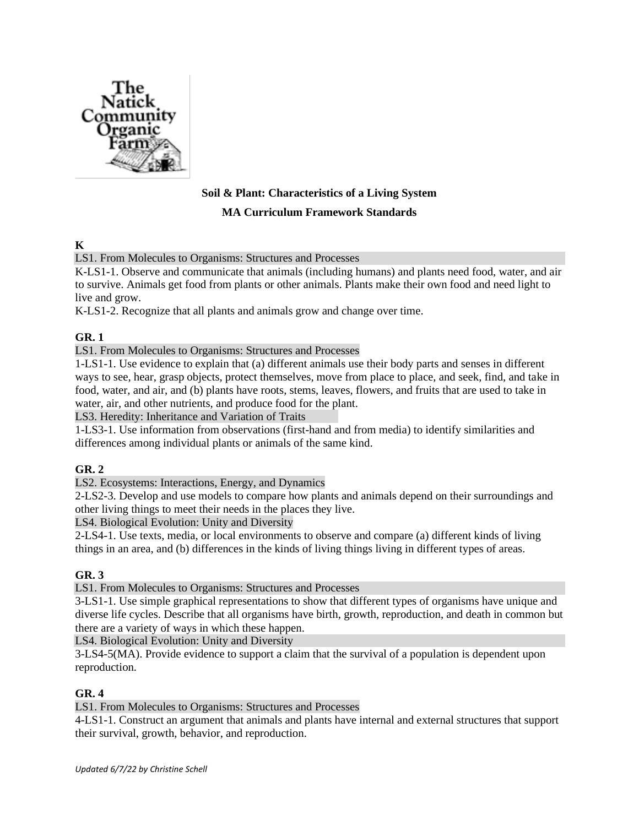

# **Soil & Plant: Characteristics of a Living System**

#### **MA Curriculum Framework Standards**

**K**

LS1. From Molecules to Organisms: Structures and Processes

K-LS1-1. Observe and communicate that animals (including humans) and plants need food, water, and air to survive. Animals get food from plants or other animals. Plants make their own food and need light to live and grow.

K-LS1-2. Recognize that all plants and animals grow and change over time.

## **GR. 1**

LS1. From Molecules to Organisms: Structures and Processes

1-LS1-1. Use evidence to explain that (a) different animals use their body parts and senses in different ways to see, hear, grasp objects, protect themselves, move from place to place, and seek, find, and take in food, water, and air, and (b) plants have roots, stems, leaves, flowers, and fruits that are used to take in water, air, and other nutrients, and produce food for the plant.

LS3. Heredity: Inheritance and Variation of Traits

1-LS3-1. Use information from observations (first-hand and from media) to identify similarities and differences among individual plants or animals of the same kind.

## **GR. 2**

LS2. Ecosystems: Interactions, Energy, and Dynamics

2-LS2-3. Develop and use models to compare how plants and animals depend on their surroundings and other living things to meet their needs in the places they live.

LS4. Biological Evolution: Unity and Diversity

2-LS4-1. Use texts, media, or local environments to observe and compare (a) different kinds of living things in an area, and (b) differences in the kinds of living things living in different types of areas.

## **GR. 3**

LS1. From Molecules to Organisms: Structures and Processes

3-LS1-1. Use simple graphical representations to show that different types of organisms have unique and diverse life cycles. Describe that all organisms have birth, growth, reproduction, and death in common but there are a variety of ways in which these happen.

LS4. Biological Evolution: Unity and Diversity

3-LS4-5(MA). Provide evidence to support a claim that the survival of a population is dependent upon reproduction.

## **GR. 4**

LS1. From Molecules to Organisms: Structures and Processes

4-LS1-1. Construct an argument that animals and plants have internal and external structures that support their survival, growth, behavior, and reproduction.